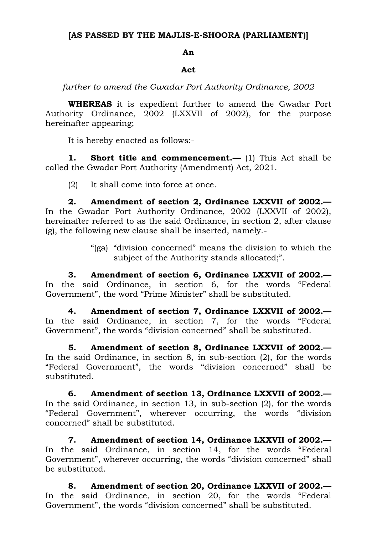## **[AS PASSED BY THE MAJLIS-E-SHOORA (PARLIAMENT)]**

## **An**

## **Act**

*further to amend the Gwadar Port Authority Ordinance, 2002*

**WHEREAS** it is expedient further to amend the Gwadar Port Authority Ordinance, 2002 (LXXVII of 2002), for the purpose hereinafter appearing;

It is hereby enacted as follows:-

**1. Short title and commencement.—** (1) This Act shall be called the Gwadar Port Authority (Amendment) Act, 2021.

(2) It shall come into force at once.

**2. Amendment of section 2, Ordinance LXXVII of 2002.—** In the Gwadar Port Authority Ordinance, 2002 (LXXVII of 2002), hereinafter referred to as the said Ordinance, in section 2, after clause (g), the following new clause shall be inserted, namely.-

> "(ga) "division concerned" means the division to which the subject of the Authority stands allocated;".

**3. Amendment of section 6, Ordinance LXXVII of 2002.—** In the said Ordinance, in section 6, for the words "Federal Government", the word "Prime Minister" shall be substituted.

**4. Amendment of section 7, Ordinance LXXVII of 2002.—** In the said Ordinance, in section 7, for the words "Federal Government", the words "division concerned" shall be substituted.

**5. Amendment of section 8, Ordinance LXXVII of 2002.—** In the said Ordinance, in section 8, in sub-section (2), for the words "Federal Government", the words "division concerned" shall be substituted.

**6. Amendment of section 13, Ordinance LXXVII of 2002.—** In the said Ordinance, in section 13, in sub-section (2), for the words "Federal Government", wherever occurring, the words "division concerned" shall be substituted.

**7. Amendment of section 14, Ordinance LXXVII of 2002.—** In the said Ordinance, in section 14, for the words "Federal Government", wherever occurring, the words "division concerned" shall be substituted.

**8. Amendment of section 20, Ordinance LXXVII of 2002.—** In the said Ordinance, in section 20, for the words "Federal Government", the words "division concerned" shall be substituted.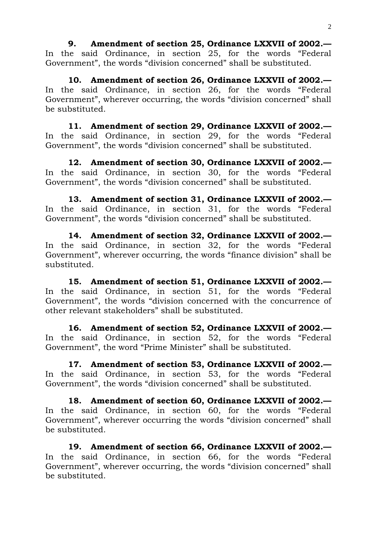**9. Amendment of section 25, Ordinance LXXVII of 2002.—** In the said Ordinance, in section 25, for the words "Federal Government", the words "division concerned" shall be substituted.

**10. Amendment of section 26, Ordinance LXXVII of 2002.—** In the said Ordinance, in section 26, for the words "Federal Government", wherever occurring, the words "division concerned" shall be substituted.

**11. Amendment of section 29, Ordinance LXXVII of 2002.—** In the said Ordinance, in section 29, for the words "Federal Government", the words "division concerned" shall be substituted.

**12. Amendment of section 30, Ordinance LXXVII of 2002.—** In the said Ordinance, in section 30, for the words "Federal Government", the words "division concerned" shall be substituted.

**13. Amendment of section 31, Ordinance LXXVII of 2002.—** In the said Ordinance, in section 31, for the words "Federal Government", the words "division concerned" shall be substituted.

**14. Amendment of section 32, Ordinance LXXVII of 2002.—** In the said Ordinance, in section 32, for the words "Federal Government", wherever occurring, the words "finance division" shall be substituted.

**15. Amendment of section 51, Ordinance LXXVII of 2002.—** In the said Ordinance, in section 51, for the words "Federal Government", the words "division concerned with the concurrence of other relevant stakeholders" shall be substituted.

**16. Amendment of section 52, Ordinance LXXVII of 2002.—** In the said Ordinance, in section 52, for the words "Federal Government", the word "Prime Minister" shall be substituted.

**17. Amendment of section 53, Ordinance LXXVII of 2002.—** In the said Ordinance, in section 53, for the words "Federal Government", the words "division concerned" shall be substituted.

**18. Amendment of section 60, Ordinance LXXVII of 2002.—** In the said Ordinance, in section 60, for the words "Federal Government", wherever occurring the words "division concerned" shall be substituted.

**19. Amendment of section 66, Ordinance LXXVII of 2002.—** In the said Ordinance, in section 66, for the words "Federal Government", wherever occurring, the words "division concerned" shall be substituted.